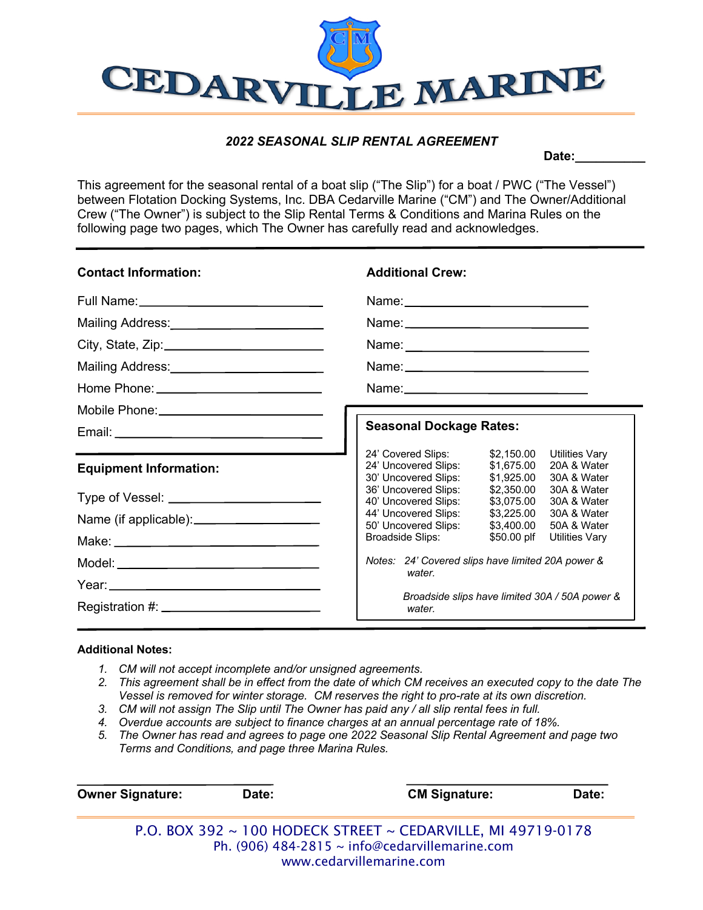

## *2022 SEASONAL SLIP RENTAL AGREEMENT*

Date:

This agreement for the seasonal rental of a boat slip ("The Slip") for a boat / PWC ("The Vessel") between Flotation Docking Systems, Inc. DBA Cedarville Marine ("CM") and The Owner/Additional Crew ("The Owner") is subject to the Slip Rental Terms & Conditions and Marina Rules on the following page two pages, which The Owner has carefully read and acknowledges.

| <b>Contact Information:</b>                  | <b>Additional Crew:</b>                                                                                                                                                                                           |  |  |
|----------------------------------------------|-------------------------------------------------------------------------------------------------------------------------------------------------------------------------------------------------------------------|--|--|
|                                              |                                                                                                                                                                                                                   |  |  |
| Mailing Address:<br><u> Mailing Address:</u> |                                                                                                                                                                                                                   |  |  |
|                                              |                                                                                                                                                                                                                   |  |  |
| Mailing Address:<br><u> </u>                 |                                                                                                                                                                                                                   |  |  |
|                                              |                                                                                                                                                                                                                   |  |  |
|                                              |                                                                                                                                                                                                                   |  |  |
|                                              | <b>Seasonal Dockage Rates:</b>                                                                                                                                                                                    |  |  |
| <b>Equipment Information:</b>                | \$2,150.00<br>24' Covered Slips:<br>Utilities Vary<br>20A & Water<br>24' Uncovered Slips:<br>\$1.675.00<br>30' Uncovered Slips:<br>\$1.925.00<br>30A & Water<br>36' Uncovered Slips:<br>\$2,350.00<br>30A & Water |  |  |
|                                              | 40' Uncovered Slips:<br>\$3.075.00<br>30A & Water                                                                                                                                                                 |  |  |
|                                              | 44' Uncovered Slips:<br>\$3,225.00<br>30A & Water<br>50' Uncovered Slips:<br>\$3.400.00<br>50A & Water                                                                                                            |  |  |
|                                              | \$50.00 plf<br>Broadside Slips:<br><b>Utilities Vary</b>                                                                                                                                                          |  |  |
|                                              | Notes: 24' Covered slips have limited 20A power &                                                                                                                                                                 |  |  |
|                                              | water.                                                                                                                                                                                                            |  |  |
|                                              | Broadside slips have limited 30A / 50A power &<br>water.                                                                                                                                                          |  |  |

## **Additional Notes:**

- *1. CM will not accept incomplete and/or unsigned agreements.*
- *2. This agreement shall be in effect from the date of which CM receives an executed copy to the date The Vessel is removed for winter storage. CM reserves the right to pro-rate at its own discretion.*
- *3. CM will not assign The Slip until The Owner has paid any / all slip rental fees in full.*
- *4. Overdue accounts are subject to finance charges at an annual percentage rate of 18%.*
- *5. The Owner has read and agrees to page one 2022 Seasonal Slip Rental Agreement and page two Terms and Conditions, and page three Marina Rules.*

| <b>Owner Signature:</b> | Date: | <b>CM Signature:</b>                                         | Date: |
|-------------------------|-------|--------------------------------------------------------------|-------|
|                         |       | P.O. BOX 392 ~ 100 HODECK STREET ~ CEDARVILLE, MI 49719-0178 |       |
|                         |       | Ph. (906) 484-2815 $\sim$ info@cedarvillemarine.com          |       |
|                         |       | www.cedarvillemarine.com                                     |       |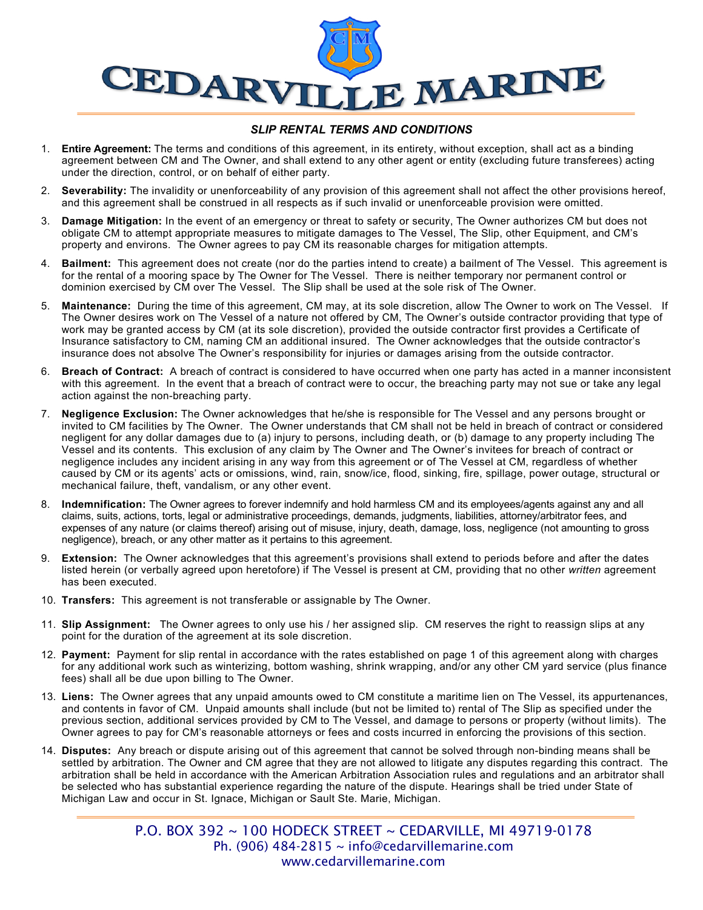

## *SLIP RENTAL TERMS AND CONDITIONS*

- 1. **Entire Agreement:** The terms and conditions of this agreement, in its entirety, without exception, shall act as a binding agreement between CM and The Owner, and shall extend to any other agent or entity (excluding future transferees) acting under the direction, control, or on behalf of either party.
- 2. **Severability:** The invalidity or unenforceability of any provision of this agreement shall not affect the other provisions hereof, and this agreement shall be construed in all respects as if such invalid or unenforceable provision were omitted.
- 3. **Damage Mitigation:** In the event of an emergency or threat to safety or security, The Owner authorizes CM but does not obligate CM to attempt appropriate measures to mitigate damages to The Vessel, The Slip, other Equipment, and CM's property and environs. The Owner agrees to pay CM its reasonable charges for mitigation attempts.
- 4. **Bailment:** This agreement does not create (nor do the parties intend to create) a bailment of The Vessel. This agreement is for the rental of a mooring space by The Owner for The Vessel. There is neither temporary nor permanent control or dominion exercised by CM over The Vessel. The Slip shall be used at the sole risk of The Owner.
- 5. **Maintenance:** During the time of this agreement, CM may, at its sole discretion, allow The Owner to work on The Vessel. If The Owner desires work on The Vessel of a nature not offered by CM, The Owner's outside contractor providing that type of work may be granted access by CM (at its sole discretion), provided the outside contractor first provides a Certificate of Insurance satisfactory to CM, naming CM an additional insured. The Owner acknowledges that the outside contractor's insurance does not absolve The Owner's responsibility for injuries or damages arising from the outside contractor.
- 6. **Breach of Contract:** A breach of contract is considered to have occurred when one party has acted in a manner inconsistent with this agreement. In the event that a breach of contract were to occur, the breaching party may not sue or take any legal action against the non-breaching party.
- 7. **Negligence Exclusion:** The Owner acknowledges that he/she is responsible for The Vessel and any persons brought or invited to CM facilities by The Owner. The Owner understands that CM shall not be held in breach of contract or considered negligent for any dollar damages due to (a) injury to persons, including death, or (b) damage to any property including The Vessel and its contents. This exclusion of any claim by The Owner and The Owner's invitees for breach of contract or negligence includes any incident arising in any way from this agreement or of The Vessel at CM, regardless of whether caused by CM or its agents' acts or omissions, wind, rain, snow/ice, flood, sinking, fire, spillage, power outage, structural or mechanical failure, theft, vandalism, or any other event.
- 8. **Indemnification:** The Owner agrees to forever indemnify and hold harmless CM and its employees/agents against any and all claims, suits, actions, torts, legal or administrative proceedings, demands, judgments, liabilities, attorney/arbitrator fees, and expenses of any nature (or claims thereof) arising out of misuse, injury, death, damage, loss, negligence (not amounting to gross negligence), breach, or any other matter as it pertains to this agreement.
- 9. **Extension:** The Owner acknowledges that this agreement's provisions shall extend to periods before and after the dates listed herein (or verbally agreed upon heretofore) if The Vessel is present at CM, providing that no other *written* agreement has been executed.
- 10. **Transfers:** This agreement is not transferable or assignable by The Owner.
- 11. **Slip Assignment:** The Owner agrees to only use his / her assigned slip. CM reserves the right to reassign slips at any point for the duration of the agreement at its sole discretion.
- 12. **Payment:** Payment for slip rental in accordance with the rates established on page 1 of this agreement along with charges for any additional work such as winterizing, bottom washing, shrink wrapping, and/or any other CM yard service (plus finance fees) shall all be due upon billing to The Owner.
- 13. **Liens:** The Owner agrees that any unpaid amounts owed to CM constitute a maritime lien on The Vessel, its appurtenances, and contents in favor of CM. Unpaid amounts shall include (but not be limited to) rental of The Slip as specified under the previous section, additional services provided by CM to The Vessel, and damage to persons or property (without limits). The Owner agrees to pay for CM's reasonable attorneys or fees and costs incurred in enforcing the provisions of this section.
- 14. **Disputes:** Any breach or dispute arising out of this agreement that cannot be solved through non-binding means shall be settled by arbitration. The Owner and CM agree that they are not allowed to litigate any disputes regarding this contract. The arbitration shall be held in accordance with the American Arbitration Association rules and regulations and an arbitrator shall be selected who has substantial experience regarding the nature of the dispute. Hearings shall be tried under State of Michigan Law and occur in St. Ignace, Michigan or Sault Ste. Marie, Michigan.

P.O. BOX 392 ~ 100 HODECK STREET ~ CEDARVILLE, MI 49719-0178 Ph. (906) 484-2815  $\sim$  info@cedarvillemarine.com www.cedarvillemarine.com